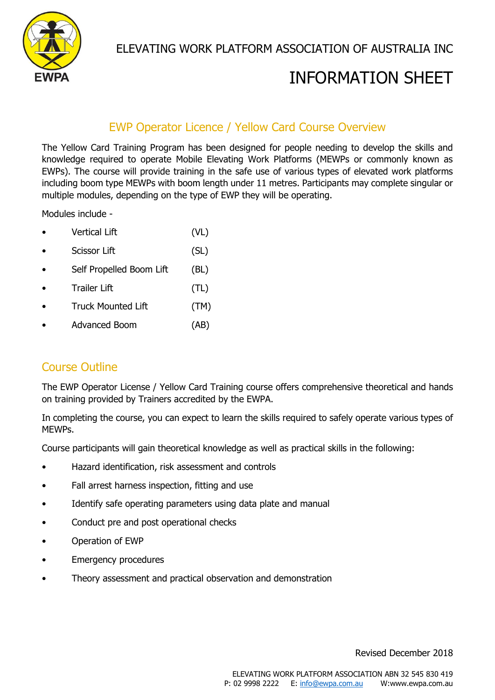

ELEVATING WORK PLATFORM ASSOCIATION OF AUSTRALIA INC

# INFORMATION SHEET

# EWP Operator Licence / Yellow Card Course Overview

The Yellow Card Training Program has been designed for people needing to develop the skills and knowledge required to operate Mobile Elevating Work Platforms (MEWPs or commonly known as EWPs). The course will provide training in the safe use of various types of elevated work platforms including boom type MEWPs with boom length under 11 metres. Participants may complete singular or multiple modules, depending on the type of EWP they will be operating.

Modules include -

- Vertical Lift (VL)
- Scissor Lift (SL)
- Self Propelled Boom Lift (BL)
- Trailer Lift (TL)
- Truck Mounted Lift (TM)
- Advanced Boom (AB)

### Course Outline

The EWP Operator License / Yellow Card Training course offers comprehensive theoretical and hands on training provided by Trainers accredited by the EWPA.

In completing the course, you can expect to learn the skills required to safely operate various types of MEWPs.

Course participants will gain theoretical knowledge as well as practical skills in the following:

- Hazard identification, risk assessment and controls
- Fall arrest harness inspection, fitting and use
- Identify safe operating parameters using data plate and manual
- Conduct pre and post operational checks
- Operation of EWP
- **Emergency procedures**
- Theory assessment and practical observation and demonstration

Revised December 2018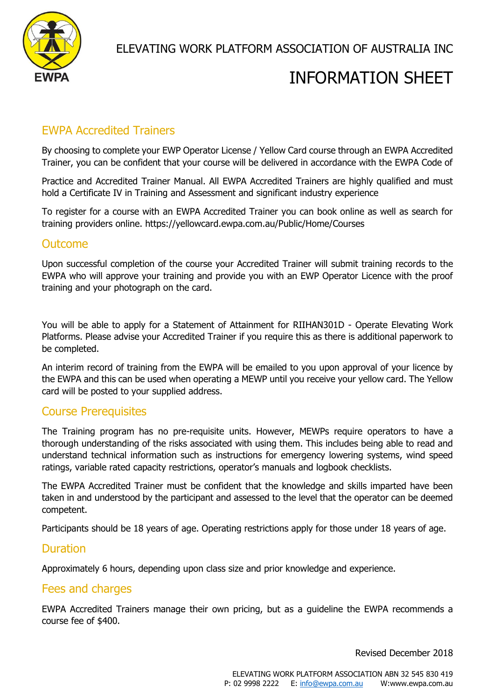

# INFORMATION SHEET

# EWPA Accredited Trainers

By choosing to complete your EWP Operator License / Yellow Card course through an EWPA Accredited Trainer, you can be confident that your course will be delivered in accordance with the EWPA Code of

Practice and Accredited Trainer Manual. All EWPA Accredited Trainers are highly qualified and must hold a Certificate IV in Training and Assessment and significant industry experience

To register for a course with an EWPA Accredited Trainer you can book online as well as search for training providers online. https://yellowcard.ewpa.com.au/Public/Home/Courses

#### **Outcome**

Upon successful completion of the course your Accredited Trainer will submit training records to the EWPA who will approve your training and provide you with an EWP Operator Licence with the proof training and your photograph on the card.

You will be able to apply for a Statement of Attainment for RIIHAN301D - Operate Elevating Work Platforms. Please advise your Accredited Trainer if you require this as there is additional paperwork to be completed.

An interim record of training from the EWPA will be emailed to you upon approval of your licence by the EWPA and this can be used when operating a MEWP until you receive your yellow card. The Yellow card will be posted to your supplied address.

### Course Prerequisites

The Training program has no pre-requisite units. However, MEWPs require operators to have a thorough understanding of the risks associated with using them. This includes being able to read and understand technical information such as instructions for emergency lowering systems, wind speed ratings, variable rated capacity restrictions, operator's manuals and logbook checklists.

The EWPA Accredited Trainer must be confident that the knowledge and skills imparted have been taken in and understood by the participant and assessed to the level that the operator can be deemed competent.

Participants should be 18 years of age. Operating restrictions apply for those under 18 years of age.

#### Duration

Approximately 6 hours, depending upon class size and prior knowledge and experience.

#### Fees and charges

EWPA Accredited Trainers manage their own pricing, but as a guideline the EWPA recommends a course fee of \$400.

Revised December 2018